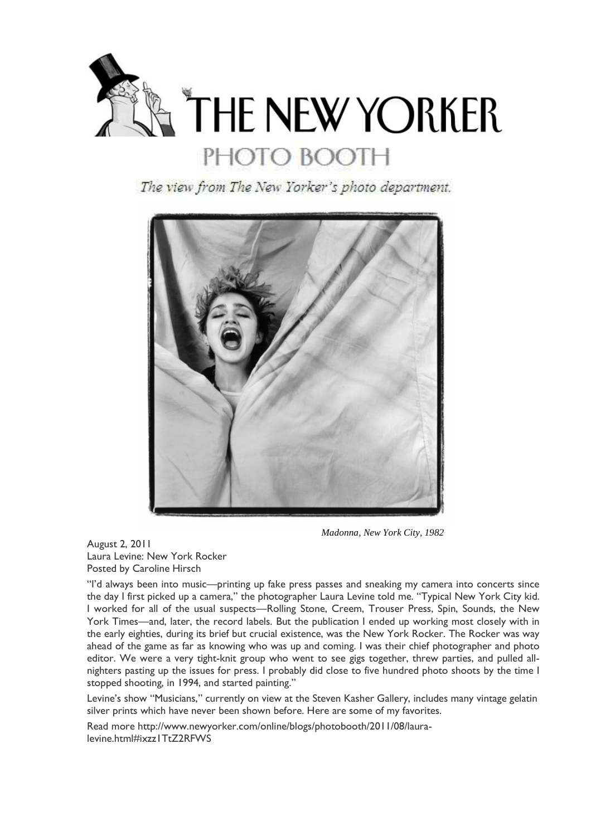

The view from The New Yorker's photo department.



 *Madonna, New York City, 1982*

August 2, 2011 Laura Levine: New York Rocker Posted by Caroline Hirsch

"I'd always been into music—printing up fake press passes and sneaking my camera into concerts since the day I first picked up a camera," the photographer Laura Levine told me. "Typical New York City kid. I worked for all of the usual suspects—Rolling Stone, Creem, Trouser Press, Spin, Sounds, the New York Times—and, later, the record labels. But the publication I ended up working most closely with in the early eighties, during its brief but crucial existence, was the New York Rocker. The Rocker was way ahead of the game as far as knowing who was up and coming. I was their chief photographer and photo editor. We were a very tight-knit group who went to see gigs together, threw parties, and pulled allnighters pasting up the issues for press. I probably did close to five hundred photo shoots by the time I stopped shooting, in 1994, and started painting."

Levine's show "Musicians," currently on view at the Steven Kasher Gallery, includes many vintage gelatin silver prints which have never been shown before. Here are some of my favorites.

Read more http://www.newyorker.com/online/blogs/photobooth/2011/08/lauralevine.html#ixzz1TtZ2RFWS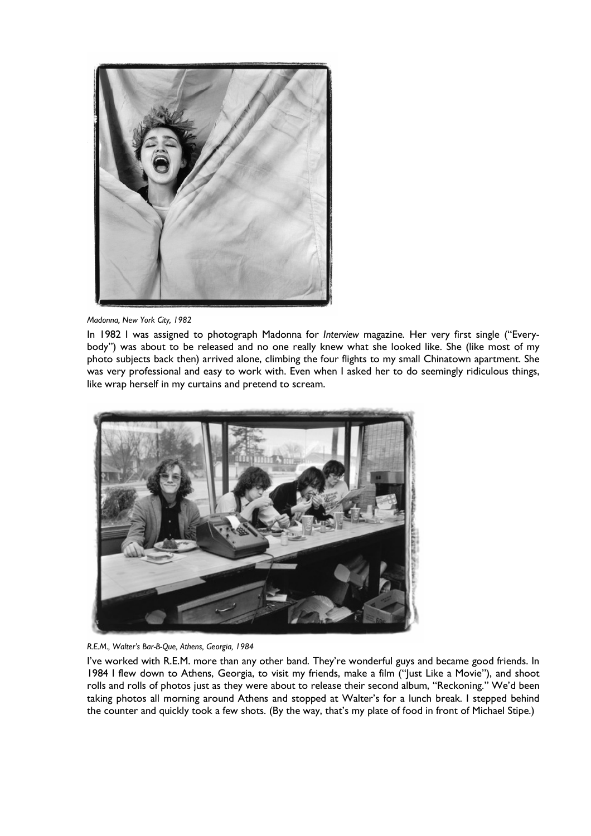

*Madonna, New York City, 1982*

In 1982 I was assigned to photograph Madonna for *Interview* magazine. Her very first single ("Everybody") was about to be released and no one really knew what she looked like. She (like most of my photo subjects back then) arrived alone, climbing the four flights to my small Chinatown apartment. She was very professional and easy to work with. Even when I asked her to do seemingly ridiculous things, like wrap herself in my curtains and pretend to scream.





I've worked with R.E.M. more than any other band. They're wonderful guys and became good friends. In 1984 I flew down to Athens, Georgia, to visit my friends, make a film ("Just Like a Movie"), and shoot rolls and rolls of photos just as they were about to release their second album, "Reckoning." We'd been taking photos all morning around Athens and stopped at Walter's for a lunch break. I stepped behind the counter and quickly took a few shots. (By the way, that's my plate of food in front of Michael Stipe.)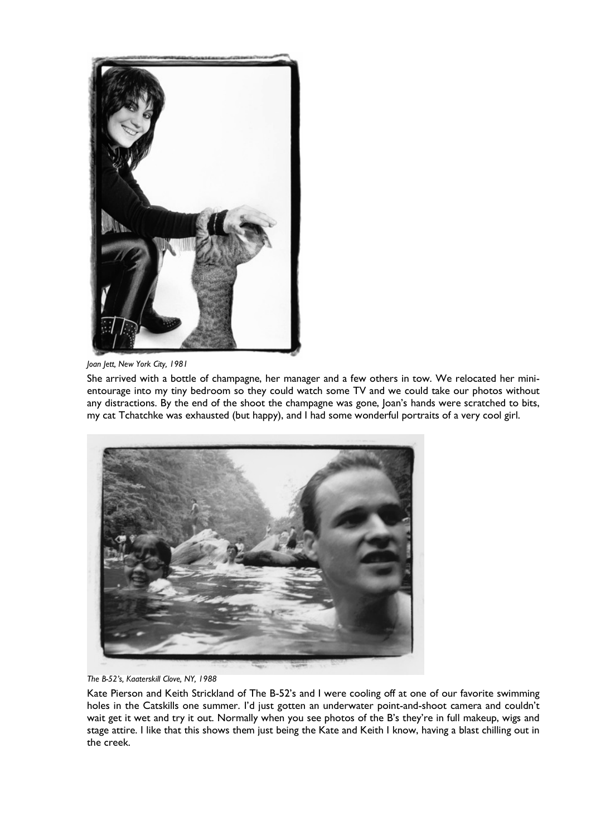

*Joan Jett, New York City, 1981*

She arrived with a bottle of champagne, her manager and a few others in tow. We relocated her minientourage into my tiny bedroom so they could watch some TV and we could take our photos without any distractions. By the end of the shoot the champagne was gone, Joan's hands were scratched to bits, my cat Tchatchke was exhausted (but happy), and I had some wonderful portraits of a very cool girl.



*The B-52's, Kaaterskill Clove, NY, 1988*

Kate Pierson and Keith Strickland of The B-52's and I were cooling off at one of our favorite swimming holes in the Catskills one summer. I'd just gotten an underwater point-and-shoot camera and couldn't wait get it wet and try it out. Normally when you see photos of the B's they're in full makeup, wigs and stage attire. I like that this shows them just being the Kate and Keith I know, having a blast chilling out in the creek.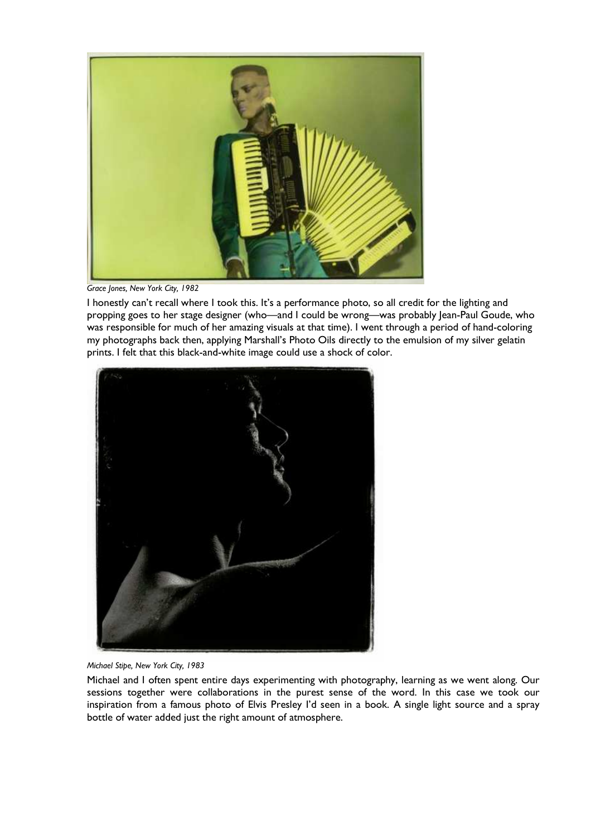

*Grace Jones, New York City, 1982*

I honestly can't recall where I took this. It's a performance photo, so all credit for the lighting and propping goes to her stage designer (who—and I could be wrong—was probably Jean-Paul Goude, who was responsible for much of her amazing visuals at that time). I went through a period of hand-coloring my photographs back then, applying Marshall's Photo Oils directly to the emulsion of my silver gelatin prints. I felt that this black-and-white image could use a shock of color.



*Michael Stipe, New York City, 1983*

Michael and I often spent entire days experimenting with photography, learning as we went along. Our sessions together were collaborations in the purest sense of the word. In this case we took our inspiration from a famous photo of Elvis Presley I'd seen in a book. A single light source and a spray bottle of water added just the right amount of atmosphere.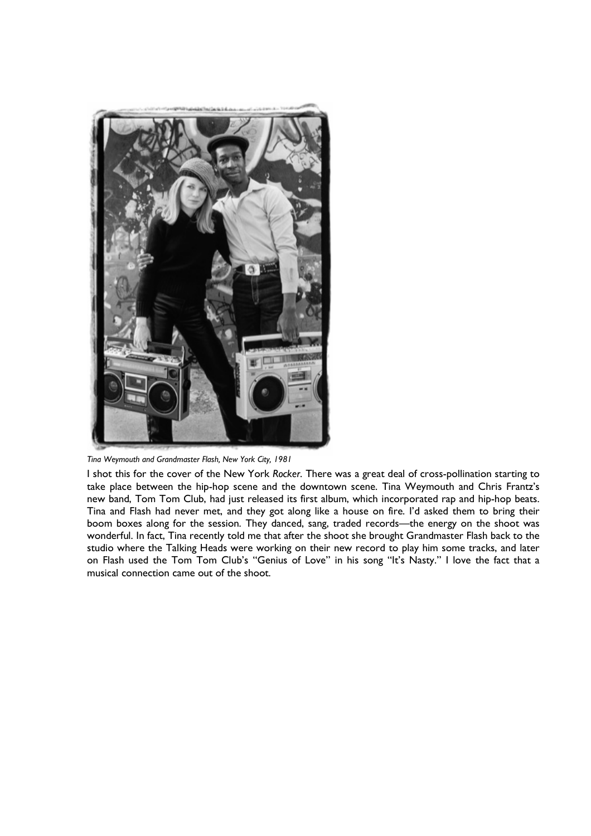

*Tina Weymouth and Grandmaster Flash, New York City, 1981*

I shot this for the cover of the New York *Rocker*. There was a great deal of cross-pollination starting to take place between the hip-hop scene and the downtown scene. Tina Weymouth and Chris Frantz's new band, Tom Tom Club, had just released its first album, which incorporated rap and hip-hop beats. Tina and Flash had never met, and they got along like a house on fire. I'd asked them to bring their boom boxes along for the session. They danced, sang, traded records—the energy on the shoot was wonderful. In fact, Tina recently told me that after the shoot she brought Grandmaster Flash back to the studio where the Talking Heads were working on their new record to play him some tracks, and later on Flash used the Tom Tom Club's "Genius of Love" in his song "It's Nasty." I love the fact that a musical connection came out of the shoot.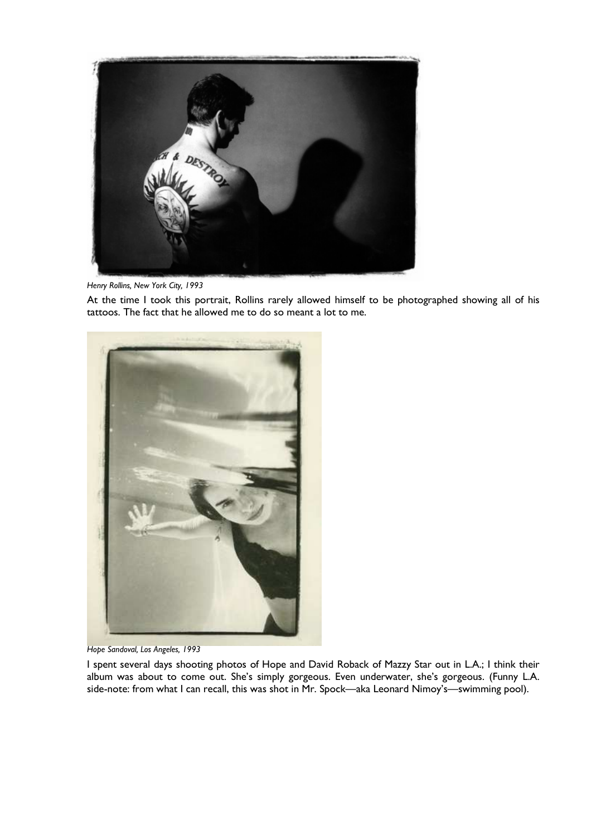

*Henry Rollins, New York City, 1993*

At the time I took this portrait, Rollins rarely allowed himself to be photographed showing all of his tattoos. The fact that he allowed me to do so meant a lot to me.



*Hope Sandoval, Los Angeles, 1993*

I spent several days shooting photos of Hope and David Roback of Mazzy Star out in L.A.; I think their album was about to come out. She's simply gorgeous. Even underwater, she's gorgeous. (Funny L.A. side-note: from what I can recall, this was shot in Mr. Spock—aka Leonard Nimoy's—swimming pool).